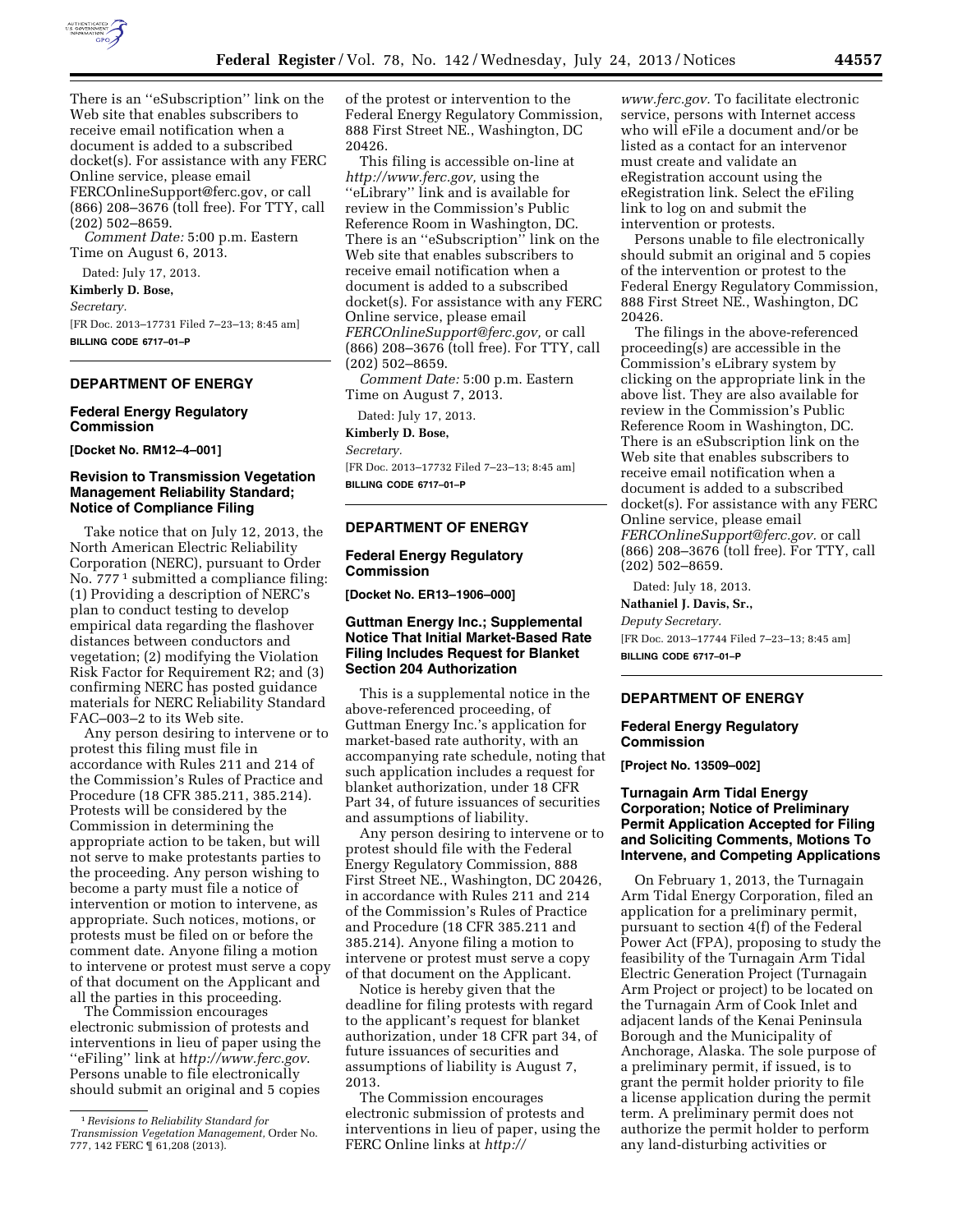

There is an ''eSubscription'' link on the Web site that enables subscribers to receive email notification when a document is added to a subscribed docket(s). For assistance with any FERC Online service, please email [FERCOnlineSupport@ferc.gov,](mailto:FERCOnlineSupport@ferc.gov) or call (866) 208–3676 (toll free). For TTY, call (202) 502–8659.

*Comment Date:* 5:00 p.m. Eastern Time on August 6, 2013.

Dated: July 17, 2013.

**Kimberly D. Bose,** 

*Secretary.* 

[FR Doc. 2013–17731 Filed 7–23–13; 8:45 am] **BILLING CODE 6717–01–P** 

# **DEPARTMENT OF ENERGY**

## **Federal Energy Regulatory Commission**

**[Docket No. RM12–4–001]** 

## **Revision to Transmission Vegetation Management Reliability Standard; Notice of Compliance Filing**

Take notice that on July 12, 2013, the North American Electric Reliability Corporation (NERC), pursuant to Order No. 777<sup>1</sup> submitted a compliance filing: (1) Providing a description of NERC's plan to conduct testing to develop empirical data regarding the flashover distances between conductors and vegetation; (2) modifying the Violation Risk Factor for Requirement R2; and (3) confirming NERC has posted guidance materials for NERC Reliability Standard FAC–003–2 to its Web site.

Any person desiring to intervene or to protest this filing must file in accordance with Rules 211 and 214 of the Commission's Rules of Practice and Procedure (18 CFR 385.211, 385.214). Protests will be considered by the Commission in determining the appropriate action to be taken, but will not serve to make protestants parties to the proceeding. Any person wishing to become a party must file a notice of intervention or motion to intervene, as appropriate. Such notices, motions, or protests must be filed on or before the comment date. Anyone filing a motion to intervene or protest must serve a copy of that document on the Applicant and all the parties in this proceeding.

The Commission encourages electronic submission of protests and interventions in lieu of paper using the ''eFiling'' link at h*[ttp://www.ferc.gov](http://www.ferc.gov)*. Persons unable to file electronically should submit an original and 5 copies of the protest or intervention to the Federal Energy Regulatory Commission, 888 First Street NE., Washington, DC 20426.

This filing is accessible on-line at *[http://www.ferc.gov,](http://www.ferc.gov)* using the ''eLibrary'' link and is available for review in the Commission's Public Reference Room in Washington, DC. There is an ''eSubscription'' link on the Web site that enables subscribers to receive email notification when a document is added to a subscribed docket(s). For assistance with any FERC Online service, please email *[FERCOnlineSupport@ferc.gov,](mailto:FERCOnlineSupport@ferc.gov)* or call (866) 208–3676 (toll free). For TTY, call (202) 502–8659.

*Comment Date:* 5:00 p.m. Eastern Time on August 7, 2013.

Dated: July 17, 2013.

**Kimberly D. Bose,**  *Secretary.* 

[FR Doc. 2013–17732 Filed 7–23–13; 8:45 am] **BILLING CODE 6717–01–P** 

## **DEPARTMENT OF ENERGY**

## **Federal Energy Regulatory Commission**

**[Docket No. ER13–1906–000]** 

## **Guttman Energy Inc.; Supplemental Notice That Initial Market-Based Rate Filing Includes Request for Blanket Section 204 Authorization**

This is a supplemental notice in the above-referenced proceeding, of Guttman Energy Inc.'s application for market-based rate authority, with an accompanying rate schedule, noting that such application includes a request for blanket authorization, under 18 CFR Part 34, of future issuances of securities and assumptions of liability.

Any person desiring to intervene or to protest should file with the Federal Energy Regulatory Commission, 888 First Street NE., Washington, DC 20426, in accordance with Rules 211 and 214 of the Commission's Rules of Practice and Procedure (18 CFR 385.211 and 385.214). Anyone filing a motion to intervene or protest must serve a copy of that document on the Applicant.

Notice is hereby given that the deadline for filing protests with regard to the applicant's request for blanket authorization, under 18 CFR part 34, of future issuances of securities and assumptions of liability is August 7, 2013.

The Commission encourages electronic submission of protests and interventions in lieu of paper, using the FERC Online links at *[http://](http://www.ferc.gov)* 

*[www.ferc.gov.](http://www.ferc.gov)* To facilitate electronic service, persons with Internet access who will eFile a document and/or be listed as a contact for an intervenor must create and validate an eRegistration account using the eRegistration link. Select the eFiling link to log on and submit the intervention or protests.

Persons unable to file electronically should submit an original and 5 copies of the intervention or protest to the Federal Energy Regulatory Commission, 888 First Street NE., Washington, DC 20426.

The filings in the above-referenced proceeding(s) are accessible in the Commission's eLibrary system by clicking on the appropriate link in the above list. They are also available for review in the Commission's Public Reference Room in Washington, DC. There is an eSubscription link on the Web site that enables subscribers to receive email notification when a document is added to a subscribed docket(s). For assistance with any FERC Online service, please email *[FERCOnlineSupport@ferc.gov.](mailto:FERCOnlineSupport@ferc.gov)* or call (866) 208–3676 (toll free). For TTY, call (202) 502–8659.

Dated: July 18, 2013.

**Nathaniel J. Davis, Sr.,** 

*Deputy Secretary.*  [FR Doc. 2013–17744 Filed 7–23–13; 8:45 am] **BILLING CODE 6717–01–P** 

#### **DEPARTMENT OF ENERGY**

## **Federal Energy Regulatory Commission**

**[Project No. 13509–002]** 

## **Turnagain Arm Tidal Energy Corporation; Notice of Preliminary Permit Application Accepted for Filing and Soliciting Comments, Motions To Intervene, and Competing Applications**

On February 1, 2013, the Turnagain Arm Tidal Energy Corporation, filed an application for a preliminary permit, pursuant to section 4(f) of the Federal Power Act (FPA), proposing to study the feasibility of the Turnagain Arm Tidal Electric Generation Project (Turnagain Arm Project or project) to be located on the Turnagain Arm of Cook Inlet and adjacent lands of the Kenai Peninsula Borough and the Municipality of Anchorage, Alaska. The sole purpose of a preliminary permit, if issued, is to grant the permit holder priority to file a license application during the permit term. A preliminary permit does not authorize the permit holder to perform any land-disturbing activities or

<sup>1</sup>*Revisions to Reliability Standard for Transmission Vegetation Management,* Order No. 777, 142 FERC ¶ 61,208 (2013).